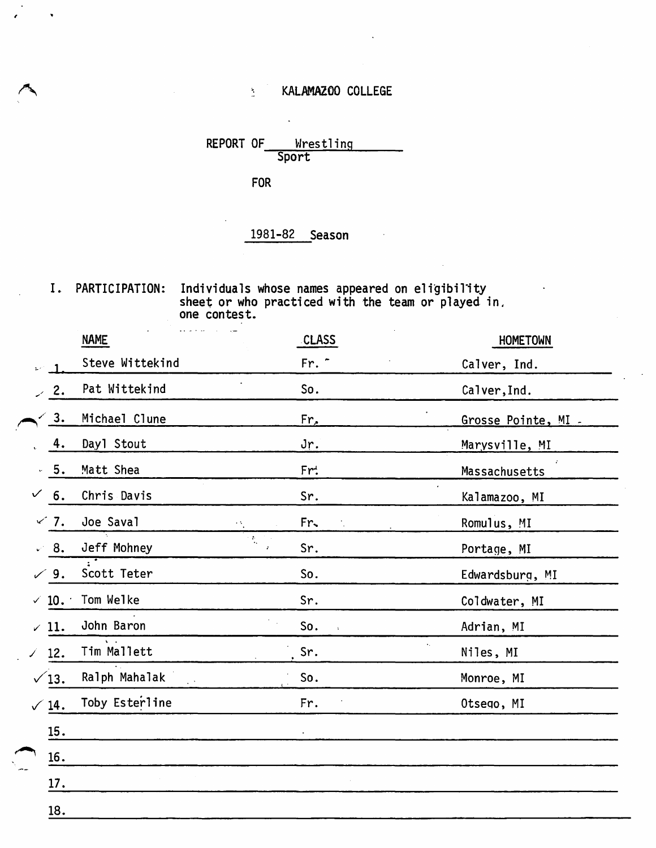# KALAMAZOO COLLEGE

Wrestling<br>Sport REPORT OF

**FOR** 

 $\mathcal{L}^{\pm}$ 

## 1981-82 Season

I. PARTICIPATION: Individuals whose names appeared on eligibility<br>sheet or who practiced with the team or played in.<br>one contest.

|                  | $\cdots$ . The contract of the contract of $\cdots$<br><b>NAME</b> | <b>CLASS</b>                | <b>HOMETOWN</b>     |
|------------------|--------------------------------------------------------------------|-----------------------------|---------------------|
|                  | Steve Wittekind                                                    | Fr. -                       | Calver, Ind.        |
| $\sim$ 2.        | Pat Wittekind                                                      | So.                         | Calver, Ind.        |
| 3.               | Michael Clune                                                      | Fr.                         | Grosse Pointe, MI - |
| 4.               | Day1 Stout                                                         | Jr.                         | Marysville, MI      |
| 5.               | Matt Shea                                                          | Fr:                         | Massachusetts       |
| 6.<br>✓          | Chris Davis                                                        | Sr.                         | Kalamazoo, MI       |
| $\times$ 7.      | Joe Saval                                                          | Fr.<br>٠٩,                  | Romulus, MI         |
| $\mathcal{L}$ 8. | Jeff Mohney                                                        | $\frac{1}{\sqrt{2}}$<br>Sr. | Portage, MI         |
| 9.<br>✓          | Scott Teter                                                        | So.                         | Edwardsburg, MI     |
| $\times$ 10.     | Tom Welke                                                          | Sr.                         | Coldwater, MI       |
| $\angle$ 11.     | John Baron                                                         | So.<br>$\ddot{\bullet}$     | Adrian, MI          |
| 12.<br>Î.        | Tim Mallett                                                        | Sr.                         | Niles, MI           |
| $\sqrt{13}$ .    | Ralph Mahalak                                                      | So.                         | Monroe, MI          |
| $\sqrt{14}$ .    | Toby Esterline                                                     | Fr.                         | Otsego, MI          |
| 15.              |                                                                    |                             |                     |
| 16.              |                                                                    |                             |                     |
| 17.              |                                                                    |                             |                     |
| 18.              |                                                                    |                             |                     |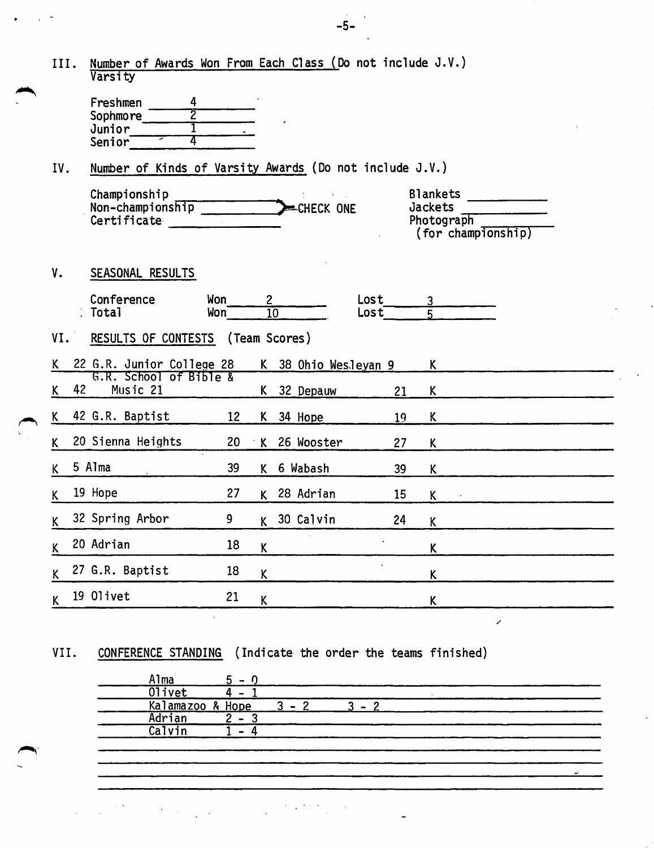|     | III. | Number of Awards Won From Each Class (Do not include J.V.)<br>Varsity             |                         |              |                    |                                      |                                                                |  |
|-----|------|-----------------------------------------------------------------------------------|-------------------------|--------------|--------------------|--------------------------------------|----------------------------------------------------------------|--|
|     |      | Freshmen<br>4<br>$\overline{2}$<br>Sophmore<br>Junior<br>4<br>Senior <sup>-</sup> |                         |              |                    |                                      |                                                                |  |
| IV. |      | Number of Kinds of Varsity Awards (Do not include J.V.)                           |                         |              |                    |                                      |                                                                |  |
|     |      | Championship<br>Non-championship<br>Certificate                                   |                         |              | CHECK ONE          |                                      | <b>Blankets</b><br>Jackets<br>Photograph<br>(for championship) |  |
| V.  |      | SEASONAL RESULTS                                                                  |                         |              |                    |                                      |                                                                |  |
|     |      | Conference<br>. Total                                                             | Won<br>Won <sup>-</sup> | $\mathbf{2}$ | $\overline{10}$    | Lost<br>$\textsf{Loss}$ <sup>T</sup> | <u>3</u><br>К                                                  |  |
| VI. |      | RESULTS OF CONTESTS (Team Scores)                                                 |                         |              |                    |                                      |                                                                |  |
|     |      |                                                                                   |                         |              |                    |                                      |                                                                |  |
| K.  |      | 22 G.R. Junior College 28                                                         |                         | K            | 38 Ohio Wesleyan 9 |                                      | K.                                                             |  |
| K   | 42   | G.R. School of Bible &<br>Music 21                                                |                         | K.           | 32 Depauw          | 21                                   | K                                                              |  |
| K   |      | 42 G.R. Baptist                                                                   | 12                      | K.           | 34 Hope            | 19                                   | K                                                              |  |
| K   |      | 20 Sienna Heights                                                                 | 20                      | $\mathsf{K}$ | 26 Wooster         | 27                                   | K                                                              |  |
| K   |      | 5 Alma                                                                            | 39                      | K            | 6 Wabash           | 39                                   | K                                                              |  |
| K   |      | 19 Hope                                                                           | 27                      | K.           | 28 Adrian          | 15                                   | K                                                              |  |
| K   |      | 32 Spring Arbor                                                                   | 9                       |              | K 30 Calvin        | 24                                   | K                                                              |  |
| K   |      | 20 Adrian                                                                         | 18                      | $\mathsf K$  |                    |                                      | K                                                              |  |
| K   |      | 27 G.R. Baptist                                                                   | 18                      | K            |                    |                                      | K                                                              |  |

## VII. CONFERENCE STANDING (Indicate the order the teams finished)

| Olivet<br>Kalamazoo & Hope |                          | $\mathcal{R}$ $\mathcal{L}$ | c |  |
|----------------------------|--------------------------|-----------------------------|---|--|
| Adrian                     | $\sim$                   |                             |   |  |
| Calvin                     | $\overline{\phantom{0}}$ |                             |   |  |

 $\epsilon_{\rm{max}}$  $\frac{1}{2}$  .

~-

-5-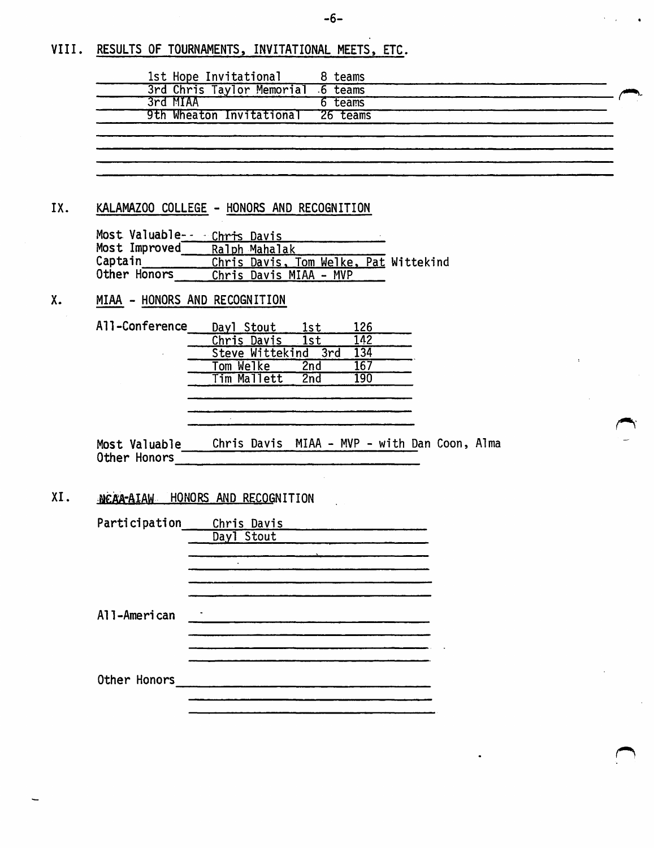### VIII. RESULTS OF TOURNAMENTS, INVITATIONAL MEETS, ETC.

| 1st Hope Invitational             | 8 teams |  |
|-----------------------------------|---------|--|
| 3rd Chris Taylor Memorial 6 teams |         |  |
| 3rd MIAA                          | 6 teams |  |
| 9th Wheaton Invitational 26 teams |         |  |
|                                   |         |  |
|                                   |         |  |
|                                   |         |  |
|                                   |         |  |

#### IX. KALAMAZOO COLLEGE - HONORS AND RECOGNITION

| Most Valuable- - Chris Davis |                        |  |  |                                       |
|------------------------------|------------------------|--|--|---------------------------------------|
| Most Improved                | Ralph Mahalak          |  |  |                                       |
| Captain                      |                        |  |  | Chris Davis, Tom Welke, Pat Wittekind |
| Other Honors                 | Chris Davis MIAA - MVP |  |  |                                       |

#### X. MIAA - HONORS AND RECOGNITION

| <b>All-Conference</b> | Dayl Stout      | lst  | 126 |
|-----------------------|-----------------|------|-----|
|                       | Chris Davis     | 1st  | 142 |
|                       | Steve Wittekind | .3rd | 134 |
|                       | Tom Welke       | 2nd  | 167 |
|                       | Tim Mallett     | 2nd  |     |

 $\sim$ 

Most Valuable Chris Davis MIAA - MVP - with Dan Coon, Alma Other Honors -----------------------------

### XI. MEAA-AIAW HONORS AND RECOGNITION

| Participation | Chris Davis |  |
|---------------|-------------|--|
|               | Day1 Stout  |  |
|               |             |  |
|               |             |  |
|               |             |  |
| All-American  |             |  |
|               |             |  |
|               |             |  |
|               |             |  |
| Other Honors  |             |  |
|               |             |  |
|               |             |  |